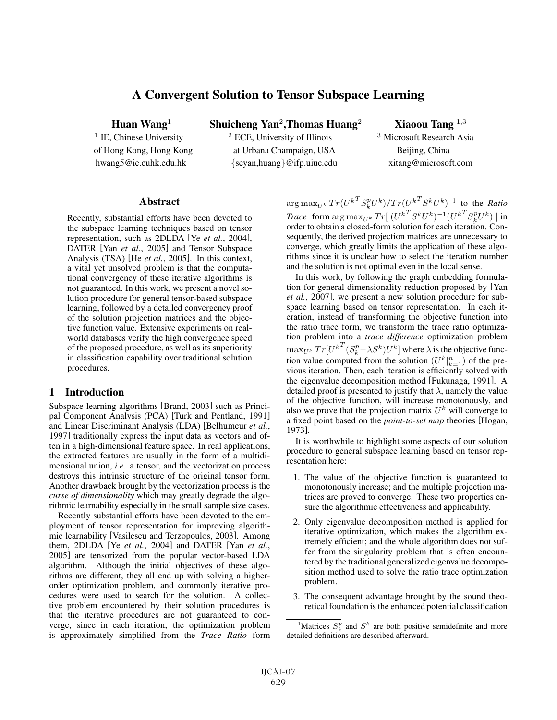# A Convergent Solution to Tensor Subspace Learning

Huan Wang<sup>1</sup> Shuicheng Yan<sup>2</sup>, Thomas Huang<sup>2</sup> Xiaoou Tang <sup>1,3</sup> <sup>1</sup> IE, Chinese University <sup>2</sup> ECE, University of Illinois <sup>3</sup> Microsoft Research Asia of Hong Kong, Hong Kong at Urbana Champaign, USA Beijing, China hwang5@ie.cuhk.edu.hk {scyan,huang}@ifp.uiuc.edu xitang@microsoft.com

## **Abstract**

Recently, substantial efforts have been devoted to the subspace learning techniques based on tensor representation, such as 2DLDA [Ye *et al.*, 2004], DATER [Yan *et al.*, 2005] and Tensor Subspace Analysis (TSA) [He *et al.*, 2005]. In this context, a vital yet unsolved problem is that the computational convergency of these iterative algorithms is not guaranteed. In this work, we present a novel solution procedure for general tensor-based subspace learning, followed by a detailed convergency proof of the solution projection matrices and the objective function value. Extensive experiments on realworld databases verify the high convergence speed of the proposed procedure, as well as its superiority in classification capability over traditional solution procedures.

## 1 Introduction

Subspace learning algorithms [Brand, 2003] such as Principal Component Analysis (PCA) [Turk and Pentland, 1991] and Linear Discriminant Analysis (LDA) [Belhumeur *et al.*, 1997] traditionally express the input data as vectors and often in a high-dimensional feature space. In real applications, the extracted features are usually in the form of a multidimensional union, *i.e.* a tensor, and the vectorization process destroys this intrinsic structure of the original tensor form. Another drawback brought by the vectorization process is the *curse of dimensionality* which may greatly degrade the algorithmic learnability especially in the small sample size cases.

Recently substantial efforts have been devoted to the employment of tensor representation for improving algorithmic learnability [Vasilescu and Terzopoulos, 2003]. Among them, 2DLDA [Ye *et al.*, 2004] and DATER [Yan *et al.*, 2005] are tensorized from the popular vector-based LDA algorithm. Although the initial objectives of these algorithms are different, they all end up with solving a higherorder optimization problem, and commonly iterative procedures were used to search for the solution. A collective problem encountered by their solution procedures is that the iterative procedures are not guaranteed to converge, since in each iteration, the optimization problem is approximately simplified from the *Trace Ratio* form

 $\arg \max_{U^k} Tr(U^{kT} S_k^p U^k) / Tr(U^{kT} S^k U^k)$ <sup>1</sup> to the *Ratio*<br> $\sum_{V} [U^{kT} C_k^p U^k] - [U^{kT} C_k^p U^k]$  $\emph{Trace}\; \; \text{form}\; \arg \max_{U^k} Tr[\; (U^{k^T} S^k U^k)^{-1} (U^{k^T} S^p_k U^k)\;] \; \text{in}\;$ order to obtain a closed-form solution for each iteration. Conorder to obtain a closed-form solution for each iteration. Consequently, the derived projection matrices are unnecessary to converge, which greatly limits the application of these algorithms since it is unclear how to select the iteration number and the solution is not optimal even in the local sense.

In this work, by following the graph embedding formulation for general dimensionality reduction proposed by [Yan *et al.*, 2007], we present a new solution procedure for subspace learning based on tensor representation. In each iteration, instead of transforming the objective function into the ratio trace form, we transform the trace ratio optimization problem into a *trace difference* optimization problem  $\max_{U^k} Tr[U^{kT}(S_k^p - \lambda S^k)U^k]$  where  $\lambda$  is the objective func-<br>tion value computed from the solution  $(U^{k|n})$  of the pretion value computed from the solution  $(U^k|_{k=1}^n)$  of the pre-<br>vious iteration. Then, each iteration is efficiently solved with vious iteration. Then, each iteration is efficiently solved with the eigenvalue decomposition method [Fukunaga, 1991]. A detailed proof is presented to justify that  $\lambda$ , namely the value of the objective function, will increase monotonously, and also we prove that the projection matrix  $U^k$  will converge to a fixed point based on the *point-to-set map* theories [Hogan, 1973].

It is worthwhile to highlight some aspects of our solution procedure to general subspace learning based on tensor representation here:

- 1. The value of the objective function is guaranteed to monotonously increase; and the multiple projection matrices are proved to converge. These two properties ensure the algorithmic effectiveness and applicability.
- 2. Only eigenvalue decomposition method is applied for iterative optimization, which makes the algorithm extremely efficient; and the whole algorithm does not suffer from the singularity problem that is often encountered by the traditional generalized eigenvalue decomposition method used to solve the ratio trace optimization problem.
- 3. The consequent advantage brought by the sound theoretical foundation is the enhanced potential classification

<sup>&</sup>lt;sup>1</sup>Matrices  $S_k^p$  and  $S^k$  are both positive semidefinite and more detailed definitions are described afterward.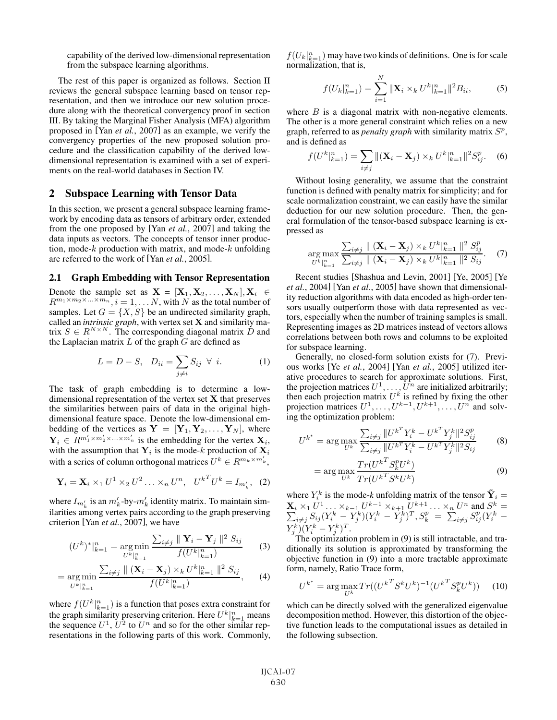capability of the derived low-dimensional representation from the subspace learning algorithms.

The rest of this paper is organized as follows. Section II reviews the general subspace learning based on tensor representation, and then we introduce our new solution procedure along with the theoretical convergency proof in section III. By taking the Marginal Fisher Analysis (MFA) algorithm proposed in [Yan *et al.*, 2007] as an example, we verify the convergency properties of the new proposed solution procedure and the classification capability of the derived lowdimensional representation is examined with a set of experiments on the real-world databases in Section IV.

## 2 Subspace Learning with Tensor Data

In this section, we present a general subspace learning framework by encoding data as tensors of arbitrary order, extended from the one proposed by [Yan *et al.*, 2007] and taking the data inputs as vectors. The concepts of tensor inner production, mode- $k$  production with matrix, and mode- $k$  unfolding are referred to the work of [Yan *et al.*, 2005].

#### 2.1 Graph Embedding with Tensor Representation

Denote the sample set as  $\mathbf{X} = [\mathbf{X}_1, \mathbf{X}_2, ..., \mathbf{X}_N], \mathbf{X}_i \in R^{m_1 \times m_2 \times ... \times m_n}$   $i = 1$  N with N as the total number of  $R^{m_1 \times m_2 \times \ldots \times m_n}$ ,  $i = 1, \ldots N$ , with N as the total number of samples Let  $G = \{X, S\}$  be an undirected similarity graph samples. Let  $G = \{X, S\}$  be an undirected similarity graph, called an *intrinsic graph*, with vertex set **X** and similarity matrix  $S \in R^{N \times N}$ . The corresponding diagonal matrix D and the Laplacian matrix  $L$  of the graph  $G$  are defined as

$$
L = D - S, \quad D_{ii} = \sum_{j \neq i} S_{ij} \ \forall \ i.
$$
 (1)

The task of graph embedding is to determine a lowdimensional representation of the vertex set **X** that preserves the similarities between pairs of data in the original highdimensional feature space. Denote the low-dimensional embedding of the vertices as  $Y = [Y_1, Y_2, \dots, Y_N]$ , where  $\mathbf{Y}_i \in \mathbb{R}^{m'_1 \times m'_2 \times \ldots \times m'_n}$  is the embedding for the vertex  $\mathbf{X}_i$ , with the assumption that  $Y_i$  is the mode-k production of  $X_i$ with a series of column orthogonal matrices  $U^k \in R^{m_k \times m'_k}$ ,

$$
\mathbf{Y}_{i} = \mathbf{X}_{i} \times_{1} U^{1} \times_{2} U^{2} \dots \times_{n} U^{n}, \quad U^{k}{}^{T}U^{k} = I_{m'_{k}}, \quad (2)
$$

where  $I_{m'_k}$  is an  $m'_k$ -by- $m'_k$  identity matrix. To maintain similarities among vertex pairs according to the graph preserving criterion [Yan *et al.*, 2007], we have

$$
(U^k)^*|_{k=1}^n = \underset{U^k|_{k=1}^n}{\arg \min} \frac{\sum_{i \neq j} ||\mathbf{Y}_i - \mathbf{Y}_j||^2 S_{ij}}{f(U^k|_{k=1}^n)}
$$
(3)

$$
= \underset{U^{k}|_{k=1}^{n}}{\arg \min} \frac{\sum_{i \neq j} \| (\mathbf{X}_{i} - \mathbf{X}_{j}) \times_{k} U^{k}|_{k=1}^{n} \|^{2} S_{ij}}{f(U^{k}|_{k=1}^{n})}, \qquad (4)
$$

where  $f(U^k|_{k=1}^n)$  is a function that poses extra constraint for<br>the graph similarity preserving criterion. Here  $U^k|_n$  means the graph similarity preserving criterion. Here  $U^k|_{k=1}^n$  means the sequence  $U^1$ ,  $U^2$  to  $U^n$  and so for the other similar representations in the following parts of this work. Commonly,

 $f(U_k)_{k=1}^n$  may have two kinds of definitions. One is for scale<br>normalization that is normalization, that is,

$$
f(U_k|_{k=1}^n) = \sum_{i=1}^N \|\mathbf{X}_i \times_k U^k\|_{k=1}^n\|^2 B_{ii},
$$
 (5)

where  $B$  is a diagonal matrix with non-negative elements. The other is a more general constraint which relies on a new graph, referred to as *penalty graph* with similarity matrix  $S<sup>p</sup>$ , and is defined as

$$
f(U^k|_{k=1}^n) = \sum_{i \neq j} \|(\mathbf{X}_i - \mathbf{X}_j) \times_k U^k\|_{k=1}^n\|^2 S_{ij}^p. \tag{6}
$$

Without losing generality, we assume that the constraint function is defined with penalty matrix for simplicity; and for scale normalization constraint, we can easily have the similar deduction for our new solution procedure. Then, the general formulation of the tensor-based subspace learning is expressed as

$$
\underset{U^{k}|_{k=1}^{n}}{\arg \max} \frac{\sum_{i \neq j} \| (\mathbf{X}_{i} - \mathbf{X}_{j}) \times_{k} U^{k}|_{k=1}^{n} \|^{2} S_{ij}^{p}}{\sum_{i \neq j} \| (\mathbf{X}_{i} - \mathbf{X}_{j}) \times_{k} U^{k}|_{k=1}^{n} \|^{2} S_{ij}}.
$$
 (7)

Recent studies [Shashua and Levin, 2001] [Ye, 2005] [Ye *et al.*, 2004] [Yan *et al.*, 2005] have shown that dimensionality reduction algorithms with data encoded as high-order tensors usually outperform those with data represented as vectors, especially when the number of training samples is small. Representing images as 2D matrices instead of vectors allows correlations between both rows and columns to be exploited for subspace learning.

Generally, no closed-form solution exists for (7). Previous works [Ye *et al.*, 2004] [Yan *et al.*, 2005] utilized iterative procedures to search for approximate solutions. First, the projection matrices  $U^1, \ldots, \bar{U}^n$  are initialized arbitrarily; then each projection matrix  $U^k$  is refined by fixing the other projection matrices  $U^1, \ldots, U^{k-1}, U^{k+1}, \ldots, U^n$  and solving the optimization problem:

$$
U^{k^*} = \arg \max_{U^k} \frac{\sum_{i \neq j} ||U^{k^T} Y_i^k - U^{k^T} Y_j^k||^2 S_{ij}^p}{\sum_{i \neq j} ||U^{k^T} Y_i^k - U^{k^T} Y_j^k||^2 S_{ij}}
$$
(8)

$$
= \arg\max_{U^k} \frac{Tr(U^{kT} S_k^p U^k)}{Tr(U^{kT} S^k U^k)}
$$
\n(9)

where  $Y_i^k$  is the mode-*k* unfolding matrix of the tensor  $\tilde{Y}_i = \mathbf{X}_i \times_1 U^1 \dots \times_{k-1} U^{k-1} \times_{k+1} U^{k+1} \dots \times_n U^n$  and  $S^k =$ Σ k  $\sum_{i\neq j}^i \overline{S_{ij}}(\overline{Y_i^k}-\overline{Y_j^k})(Y_i^k-\overline{Y_j^k})^T, S_k^p=\sum_{i\neq j}^n \overline{S_{ij}^p}(\overline{Y_i^k}-\overline{Y_j^k})(Y_i^k-\overline{Y_j^k})^T,$  $Y_j^k (Y_i^k - Y_j^k)^T$ .<br>The optimizatio

The optimization problem in (9) is still intractable, and traditionally its solution is approximated by transforming the objective function in (9) into a more tractable approximate form, namely, Ratio Trace form,

$$
U^{k^*} = \arg\max_{U^k} Tr((U^{k^T} S^k U^k)^{-1} (U^{k^T} S_k^p U^k))
$$
 (10)

which can be directly solved with the generalized eigenvalue decomposition method. However, this distortion of the objective function leads to the computational issues as detailed in the following subsection.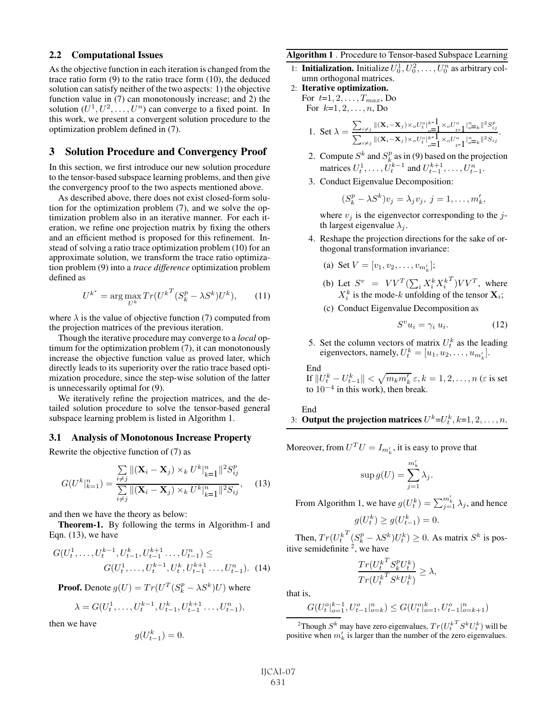#### 2.2 Computational Issues

As the objective function in each iteration is changed from the trace ratio form (9) to the ratio trace form (10), the deduced solution can satisfy neither of the two aspects: 1) the objective function value in (7) can monotonously increase; and 2) the solution  $(U^1, U^2, \ldots, U^n)$  can converge to a fixed point. In this work, we present a convergent solution procedure to the optimization problem defined in (7).

# 3 Solution Procedure and Convergency Proof

In this section, we first introduce our new solution procedure to the tensor-based subspace learning problems, and then give the convergency proof to the two aspects mentioned above.

As described above, there does not exist closed-form solution for the optimization problem (7), and we solve the optimization problem also in an iterative manner. For each iteration, we refine one projection matrix by fixing the others and an efficient method is proposed for this refinement. Instead of solving a ratio trace optimization problem (10) for an approximate solution, we transform the trace ratio optimization problem (9) into a *trace difference* optimization problem defined as

$$
U^{k^*} = \arg\max_{U^k} Tr(U^{k^T} (S_k^p - \lambda S^k) U^k), \qquad (11)
$$

where  $\lambda$  is the value of objective function (7) computed from the projection matrices of the previous iteration.

Though the iterative procedure may converge to a *local* optimum for the optimization problem (7), it can monotonously increase the objective function value as proved later, which directly leads to its superiority over the ratio trace based optimization procedure, since the step-wise solution of the latter is unnecessarily optimal for (9).

We iteratively refine the projection matrices, and the detailed solution procedure to solve the tensor-based general subspace learning problem is listed in Algorithm 1.

#### 3.1 Analysis of Monotonous Increase Property

Rewrite the objective function of (7) as

$$
G(U^k|_{k=1}^n) = \frac{\sum_{i \neq j} ||(\mathbf{X}_i - \mathbf{X}_j) \times_k U^k|_{k=1}^n ||^2 S_{ij}^p}{\sum_{i \neq j} ||(\mathbf{X}_i - \mathbf{X}_j) \times_k U^k|_{k=1}^n ||^2 S_{ij}^p},
$$
 (13)

and then we have the theory as below:

Theorem-1. By following the terms in Algorithm-1 and Eqn. (13), we have

$$
G(U_t^1, \dots, U_t^{k-1}, U_{t-1}^k, U_{t-1}^{k+1}, \dots, U_{t-1}^n) \le
$$
  

$$
G(U_t^1, \dots, U_t^{k-1}, U_t^k, U_{t-1}^{k+1}, \dots, U_{t-1}^n). \tag{14}
$$

**Proof.** Denote  $g(U) = Tr(U^T(S_k^p - \lambda S^k)U)$  where

$$
\lambda = G(U_t^1, \dots, U_t^{k-1}, U_{t-1}^k, U_{t-1}^{k+1}, \dots, U_{t-1}^n),
$$

then we have

$$
g(U_{t-1}^k) = 0.
$$

### Algorithm 1 . Procedure to Tensor-based Subspace Learning

- 1: **Initialization.** Initialize  $U_0^1, U_0^2, \ldots, U_0^n$  as arbitrary column orthogonal matrices.
- 2: Iterative optimization. For  $t=1, 2, ..., T_{max}$ , Do For  $k=1, 2, ..., n$ , Do

1. Set 
$$
\lambda = \frac{\sum_{i \neq j} ||(\mathbf{X}_i - \mathbf{X}_j) \times_o U_i^o|^k - \mathbf{1}}{\sum_{i \neq j} ||(\mathbf{X}_i - \mathbf{X}_j) \times_o U_i^o|^k - \mathbf{1}} \times_o U_{t-1}^o \Big|_{o = t}^{n} ||\frac{S_{ij}^p}{2}}.
$$

- 2. Compute  $S^k$  and  $S_k^p$  as in (9) based on the projection matrices  $U_t^1, \ldots, U_t^{k-1}$  and  $U_{t-1}^{k+1}, \ldots, U_{t-1}^n$ .
- 3. Conduct Eigenvalue Decomposition:

$$
(S_k^p - \lambda S^k)v_j = \lambda_j v_j, \ j = 1, \dots, m'_k,
$$

where  $v_j$  is the eigenvector corresponding to the jth largest eigenvalue  $\lambda_i$ .

4. Reshape the projection directions for the sake of orthogonal transformation invariance:

(a) Set 
$$
V = [v_1, v_2, \dots, v_{m'_k}];
$$

- (b) Let  $S^v = V V^T (\sum_i X_i^k X_i^k)$ <br>  $X^k$  is the mode k unfolding of  $(T/V^T)$ , where  $X_i^k$  is the mode-k unfolding of the tensor  $\mathbf{X}_i$ ;
- (c) Conduct Eigenvalue Decomposition as

$$
S^v u_i = \gamma_i u_i. \tag{12}
$$

5. Set the column vectors of matrix  $U_t^k$  as the leading eigenvectors, namely,  $U_t^k = [u_1, u_2, \dots, u_{m'_k}].$ 

End

If  $||U_t^k - U_{t-1}^k|| < \sqrt{m_k m_k^l} \epsilon, k = 1, 2, ..., n$  ( $\varepsilon$  is set<br>to  $10^{-4}$  in this work), then broak to  $10^{-4}$  in this work), then break.

#### End

3: Output the projection matrices  $U^k=U_t^k, k=1, 2, \ldots, n$ .

Moreover, from  $U^TU = I_{m'_k}$  $k_{k}$ , it is easy to prove that

$$
\sup g(U) = \sum_{j=1}^{m'_k} \lambda_j.
$$

From Algorithm 1, we have  $g(U_t^k) = \sum_{j=1}^{m'_k} \lambda_j$ , and hence

$$
g(U_t^k) \ge g(U_{t-1}^k) = 0.
$$

Then,  $Tr(U_t^k)$ Then,  $Tr(U_t^{kT}(S_k^p - \lambda S^k)U_t^k) \ge 0$ . As matrix  $S^k$  is pos-<br>itive semidefinite <sup>2</sup>, we have

$$
\frac{Tr(U_t^{kT} S_k^p U_t^k)}{Tr(U_t^{kT} S^k U_t^k)} \ge \lambda,
$$

that is,

$$
G(U_t^o|_{o=1}^{k-1}, U_{t-1}^o|_{o=k}^n) \leq G(U_t^o|_{o=1}^k, U_{t-1}^o|_{o=k+1}^n)
$$

<sup>2</sup>Though  $S^k$  may have zero eigenvalues,  $Tr(U_t^{kT} S^k U_t^k)$  will be positive when  $m'_k$  is larger than the number of the zero eigenvalues.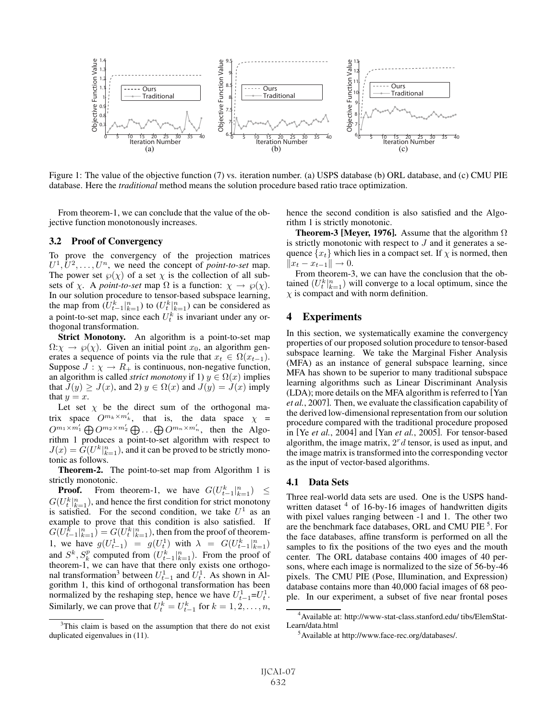

Figure 1: The value of the objective function (7) vs. iteration number. (a) USPS database (b) ORL database, and (c) CMU PIE database. Here the *traditional* method means the solution procedure based ratio trace optimization.

From theorem-1, we can conclude that the value of the objective function monotonously increases.

### 3.2 Proof of Convergency

To prove the convergency of the projection matrices  $U^1, U^2, \ldots, U^n$ , we need the concept of *point-to-set* map. The power set  $\wp(\chi)$  of a set  $\chi$  is the collection of all subsets of  $\chi$ . A *point-to-set* map  $\Omega$  is a function:  $\chi \to \varphi(\chi)$ . In our solution procedure to tensor-based subspace learning, the map from  $(\tilde{U}_{t-1}^k|_{k=1}^n)$  to  $(U_t^k|_{k=1}^n)$  can be considered as a point-to-set map, since each  $U_t^k$  is invariant under any orthogonal transformation.

**Strict Monotony.** An algorithm is a point-to-set map  $\Omega: \chi \to \varphi(\chi)$ . Given an initial point  $x_0$ , an algorithm generates a sequence of points via the rule that  $x_t \in \Omega(x_{t-1})$ . Suppose  $J : \chi \to R_+$  is continuous, non-negative function, an algorithm is called *strict monotony* if 1)  $y \in \Omega(x)$  implies that  $J(y) \geq J(x)$ , and 2)  $y \in \Omega(x)$  and  $J(y) = J(x)$  imply that  $y = x$ .

Let set  $\chi$  be the direct sum of the orthogonal matrix space  $O^{m_k \times m'_k}$ , that is, the data space  $\chi$  =  $O^{m_1 \times m'_1} \bigoplus O^{m_2 \times m'_2} \bigoplus \ldots \bigoplus O^{m_n \times m'_n}$ , then the Algorithm 1 produces a point-to-set algorithm with respect to  $J(x) = \tilde{G}(U^k|_{k=1}^n)$ , and it can be proved to be strictly mono-<br>tonic as follows tonic as follows.

Theorem-2. The point-to-set map from Algorithm 1 is strictly monotonic.

**Proof.** From theorem-1, we have  $G(U_{t-1}^k|_{k=1}^n) \le$ <br> $(U_{t}^k|_{n=1}^n)$  and hance the first condition for strict monotony  $G(U_t^k)_{k=1}^n$ ), and hence the first condition for strict monotony<br>is satisfied For the second condition we take  $U^1$  as an is satisfied. For the second condition, we take  $U^1$  as an example to prove that this condition is also satisfied. If  $G(U_{t-1}|_{k=1}^n) = G(U_t^k|_{k=1}^n)$ , then from the proof of theorem-<br>  $\frac{1}{k}$  we have  $g(U_t^1|_{k=1}) = g(U_t^1)$  with  $\sum_{k=1}^n G(U_k^k|_{k=1}^n)$ 1, we have  $g(U_{t-1}^1) = g(U_t^1)$  with  $\lambda = G(U_{t-1}^k)$ <br>and  $S_k^k$   $S_p^p$  computed from  $(U_k^k \mid n)$ . From the proof 1, we have  $g(U_{t-1}) = g(U_t)$  with  $\lambda = G(U_{t-1}|_{k=1})$ <br>and  $S^k$ ,  $S_k^p$  computed from  $(U_{t-1}^k|_{k=1}^n)$ . From the proof of<br>theorem-1 we can have that there only exists one orthogotheorem-1, we can have that there only exists one orthogonal transformation<sup>3</sup> between  $U_{t-1}^1$  and  $U_t^1$ . As shown in Algorithm 1, this kind of orthogonal transformation has been normalized by the reshaping step, hence we have  $U_{t-1}^1 = U_t^1$ . Similarly, we can prove that  $U_t^k = U_{t-1}^k$  for  $k = 1, 2, ..., n$ , hence the second condition is also satisfied and the Algorithm 1 is strictly monotonic.

**Theorem-3 [Meyer, 1976].** Assume that the algorithm  $\Omega$ is strictly monotonic with respect to  $J$  and it generates a sequence  $\{x_t\}$  which lies in a compact set. If  $\chi$  is normed, then  $||x_t - x_{t-1}|| \to 0.$ 

From theorem-3, we can have the conclusion that the obtained  $(U_t^k|_{k=1}^n)$  will converge to a local optimum, since the  $\gamma$  is compact and with norm definition  $\chi$  is compact and with norm definition.

# 4 Experiments

In this section, we systematically examine the convergency properties of our proposed solution procedure to tensor-based subspace learning. We take the Marginal Fisher Analysis (MFA) as an instance of general subspace learning, since MFA has shown to be superior to many traditional subspace learning algorithms such as Linear Discriminant Analysis (LDA); more details on the MFA algorithm is referred to [Yan *et al.*, 2007]. Then, we evaluate the classification capability of the derived low-dimensional representation from our solution procedure compared with the traditional procedure proposed in [Ye *et al.*, 2004] and [Yan *et al.*, 2005]. For tensor-based algorithm, the image matrix,  $2<sup>r</sup>d$  tensor, is used as input, and the image matrix is transformed into the corresponding vector as the input of vector-based algorithms.

## 4.1 Data Sets

Three real-world data sets are used. One is the USPS handwritten dataset  $4$  of 16-by-16 images of handwritten digits with pixel values ranging between -1 and 1. The other two are the benchmark face databases, ORL and CMU PIE<sup>5</sup>. For the face databases, affine transform is performed on all the samples to fix the positions of the two eyes and the mouth center. The ORL database contains 400 images of 40 persons, where each image is normalized to the size of 56-by-46 pixels. The CMU PIE (Pose, Illumination, and Expression) database contains more than 40,000 facial images of 68 people. In our experiment, a subset of five near frontal poses

<sup>&</sup>lt;sup>3</sup>This claim is based on the assumption that there do not exist duplicated eigenvalues in (11).

<sup>4</sup> Available at: http://www-stat-class.stanford.edu/ tibs/ElemStat-Learn/data.html

<sup>&</sup>lt;sup>5</sup> Available at http://www.face-rec.org/databases/.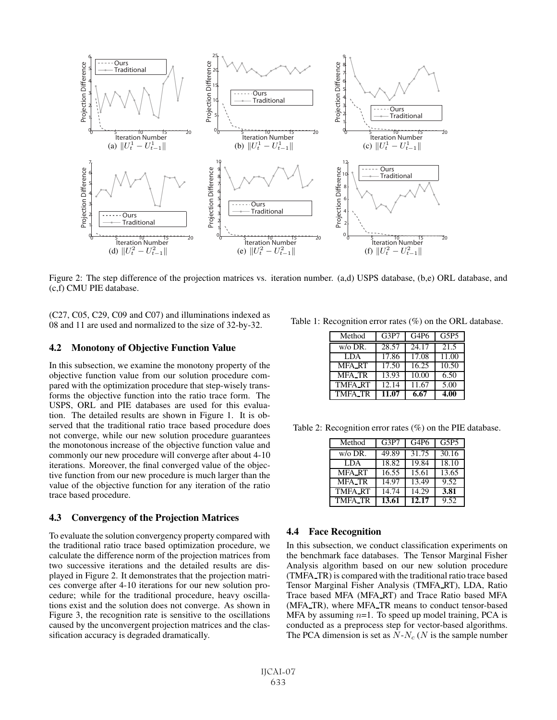

Figure 2: The step difference of the projection matrices vs. iteration number. (a,d) USPS database, (b,e) ORL database, and (c,f) CMU PIE database.

(C27, C05, C29, C09 and C07) and illuminations indexed as 08 and 11 are used and normalized to the size of 32-by-32.

#### 4.2 Monotony of Objective Function Value

In this subsection, we examine the monotony property of the objective function value from our solution procedure compared with the optimization procedure that step-wisely transforms the objective function into the ratio trace form. The USPS, ORL and PIE databases are used for this evaluation. The detailed results are shown in Figure 1. It is observed that the traditional ratio trace based procedure does not converge, while our new solution procedure guarantees the monotonous increase of the objective function value and commonly our new procedure will converge after about 4-10 iterations. Moreover, the final converged value of the objective function from our new procedure is much larger than the value of the objective function for any iteration of the ratio trace based procedure.

#### 4.3 Convergency of the Projection Matrices

To evaluate the solution convergency property compared with the traditional ratio trace based optimization procedure, we calculate the difference norm of the projection matrices from two successive iterations and the detailed results are displayed in Figure 2. It demonstrates that the projection matrices converge after 4-10 iterations for our new solution procedure; while for the traditional procedure, heavy oscillations exist and the solution does not converge. As shown in Figure 3, the recognition rate is sensitive to the oscillations caused by the unconvergent projection matrices and the classification accuracy is degraded dramatically.

Table 1: Recognition error rates (%) on the ORL database.

| Method         | G3P7  | G <sub>4</sub> P <sub>6</sub> | G5P5  |
|----------------|-------|-------------------------------|-------|
| $w/o$ DR.      | 28.57 | 24.17                         | 21.5  |
| <b>LDA</b>     | 17.86 | 17.08                         | 11.00 |
| <b>MFA_RT</b>  | 17.50 | 16.25                         | 10.50 |
| <b>MFA_TR</b>  | 13.93 | 10.00                         | 6.50  |
| <b>TMFA RT</b> | 12.14 | 11.67                         | 5.00  |
| <b>TMFA_TR</b> | 11.07 | 6.67                          | 4.00  |

Table 2: Recognition error rates (%) on the PIE database.

| Method         | G3P7               | G <sub>4</sub> P <sub>6</sub> | G5P5  |
|----------------|--------------------|-------------------------------|-------|
| w/o DR.        | 49.89              | 31.75                         | 30.16 |
| <b>LDA</b>     | 18.82              | 19.84                         | 18.10 |
| <b>MFA_RT</b>  | $16.\overline{55}$ | 15.61                         | 13.65 |
| <b>MFA_TR</b>  | 14.97              | 13.49                         | 9.52  |
| <b>TMFA_RT</b> | 14.74              | 14.29                         | 3.81  |
| <b>TMFA_TR</b> | 13.61              | 12.17                         | 9.52  |

#### 4.4 Face Recognition

In this subsection, we conduct classification experiments on the benchmark face databases. The Tensor Marginal Fisher Analysis algorithm based on our new solution procedure (TMFA TR) is compared with the traditional ratio trace based Tensor Marginal Fisher Analysis (TMFA RT), LDA, Ratio Trace based MFA (MFA RT) and Trace Ratio based MFA (MFA TR), where MFA TR means to conduct tensor-based MFA by assuming  $n=1$ . To speed up model training, PCA is conducted as a preprocess step for vector-based algorithms. The PCA dimension is set as  $\overline{N}$ - $N_c$  (N is the sample number